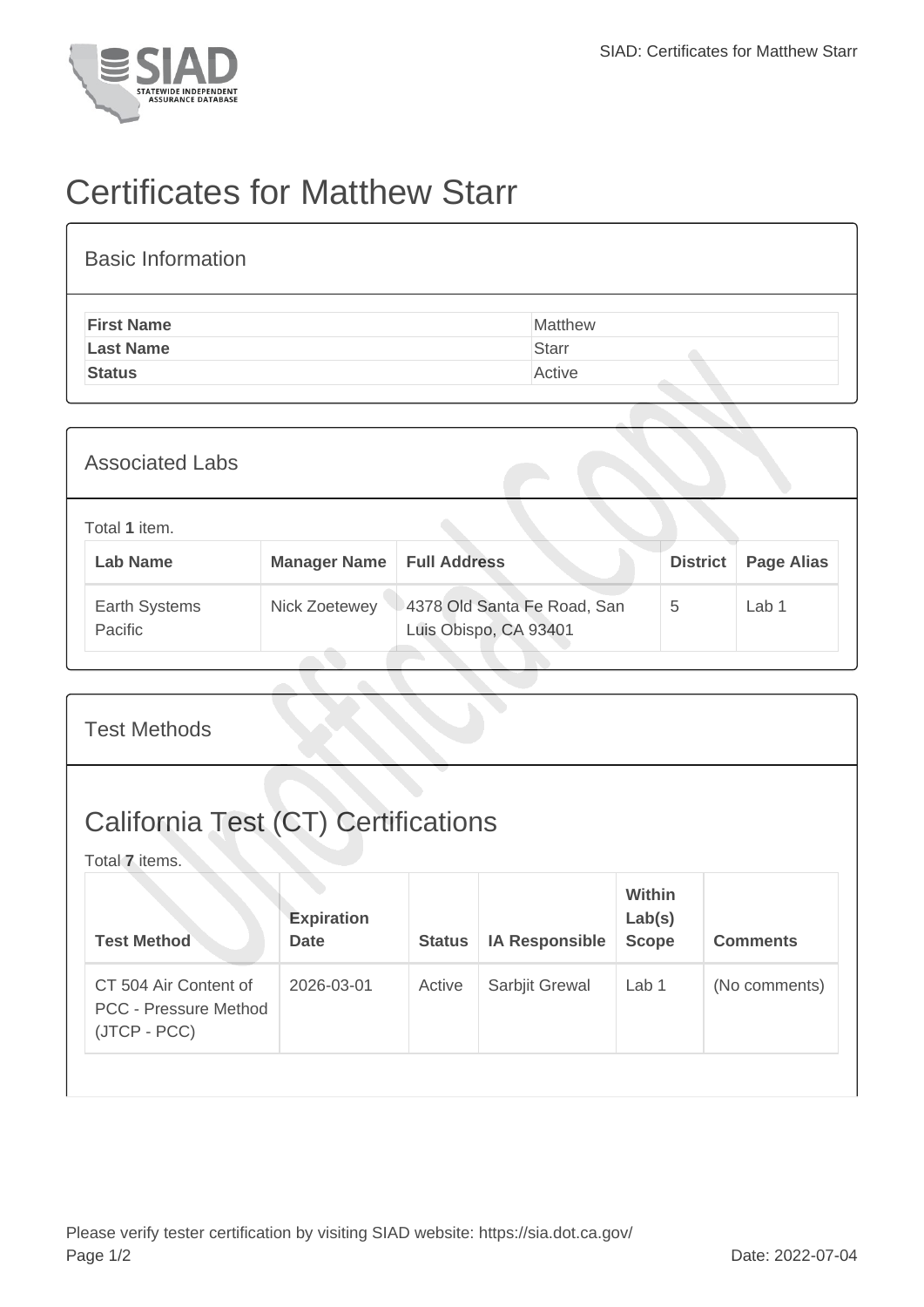

## Certificates for Matthew Starr

| <b>Basic Information</b> |              |
|--------------------------|--------------|
| <b>First Name</b>        | Matthew      |
| <b>Last Name</b>         | <b>Starr</b> |
| <b>Status</b>            | Active       |
|                          |              |

| <b>Associated Labs</b>           |                     |                                                      |                 |                   |
|----------------------------------|---------------------|------------------------------------------------------|-----------------|-------------------|
| Total 1 item.<br><b>Lab Name</b> | <b>Manager Name</b> | <b>Full Address</b>                                  | <b>District</b> | <b>Page Alias</b> |
| Earth Systems<br>Pacific         | Nick Zoetewey       | 4378 Old Santa Fe Road, San<br>Luis Obispo, CA 93401 | 5               | Lab 1             |

| <b>Test Methods</b>                                                   |                                  |               |                       |                                  |                 |
|-----------------------------------------------------------------------|----------------------------------|---------------|-----------------------|----------------------------------|-----------------|
| <b>California Test (CT) Certifications</b><br>Total 7 items.          |                                  |               |                       |                                  |                 |
| <b>Test Method</b>                                                    | <b>Expiration</b><br><b>Date</b> | <b>Status</b> | <b>IA Responsible</b> | Within<br>Lab(s)<br><b>Scope</b> | <b>Comments</b> |
| CT 504 Air Content of<br><b>PCC - Pressure Method</b><br>(JTCP - PCC) | 2026-03-01                       | Active        | Sarbjit Grewal        | Lab 1                            | (No comments)   |
|                                                                       |                                  |               |                       |                                  |                 |